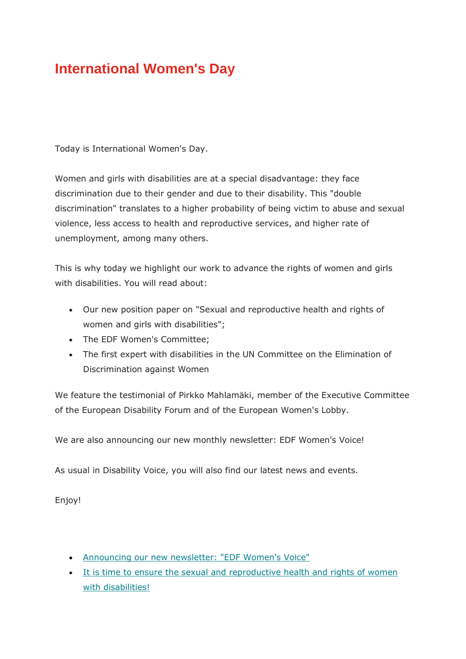#### **International Women's Day**

Today is International Women's Day.

Women and girls with disabilities are at a special disadvantage: they face discrimination due to their gender and due to their disability. This "double discrimination" translates to a higher probability of being victim to abuse and sexual violence, less access to health and reproductive services, and higher rate of unemployment, among many others.

This is why today we highlight our work to advance the rights of women and girls with disabilities. You will read about:

- Our new position paper on "Sexual and reproductive health and rights of women and girls with disabilities";
- The EDF Women's Committee:
- The first expert with disabilities in the UN Committee on the Elimination of Discrimination against Women

We feature the testimonial of Pirkko Mahlamäki, member of the Executive Committee of the European Disability Forum and of the European Women's Lobby.

We are also announcing our new monthly newsletter: EDF Women's Voice!

As usual in Disability Voice, you will also find our latest news and events.

Enjoy!

- [Announcing our new newsletter: "EDF Women's Voice"](mailbox://C:/Users/Stefano/AppData/Roaming/Thunderbird/Profiles/t4erf3qo.default/Mail/pop3.superando-1.it/Inbox?number=2673513541#mctoc1)
- [It is time to ensure the sexual and reproductive health and rights of women](mailbox://C:/Users/Stefano/AppData/Roaming/Thunderbird/Profiles/t4erf3qo.default/Mail/pop3.superando-1.it/Inbox?number=2673513541#mctoc2)  [with disabilities!](mailbox://C:/Users/Stefano/AppData/Roaming/Thunderbird/Profiles/t4erf3qo.default/Mail/pop3.superando-1.it/Inbox?number=2673513541#mctoc2)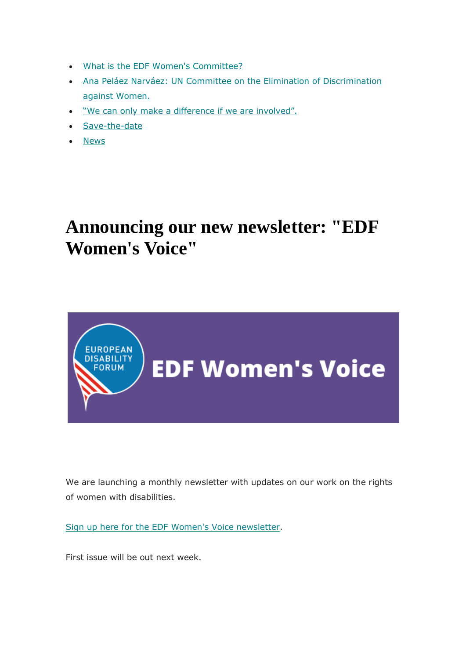- [What is the EDF Women's Committee?](mailbox://C:/Users/Stefano/AppData/Roaming/Thunderbird/Profiles/t4erf3qo.default/Mail/pop3.superando-1.it/Inbox?number=2673513541#mctoc3)
- [Ana Peláez Narváez: UN Committee on the Elimination of Discrimination](mailbox://C:/Users/Stefano/AppData/Roaming/Thunderbird/Profiles/t4erf3qo.default/Mail/pop3.superando-1.it/Inbox?number=2673513541#mctoc4)  [against Women.](mailbox://C:/Users/Stefano/AppData/Roaming/Thunderbird/Profiles/t4erf3qo.default/Mail/pop3.superando-1.it/Inbox?number=2673513541#mctoc4)
- . ["We can only make a difference if we are involved".](mailbox://C:/Users/Stefano/AppData/Roaming/Thunderbird/Profiles/t4erf3qo.default/Mail/pop3.superando-1.it/Inbox?number=2673513541#mctoc5)
- [Save-the-date](mailbox://C:/Users/Stefano/AppData/Roaming/Thunderbird/Profiles/t4erf3qo.default/Mail/pop3.superando-1.it/Inbox?number=2673513541#mctoc6)
- [News](mailbox://C:/Users/Stefano/AppData/Roaming/Thunderbird/Profiles/t4erf3qo.default/Mail/pop3.superando-1.it/Inbox?number=2673513541#mctoc7)

## **Announcing our new newsletter: "EDF Women's Voice"**



We are launching a monthly newsletter with updates on our work on the rights of women with disabilities.

[Sign up here for the EDF Women's Voice newsletter.](https://edf-feph.us9.list-manage.com/track/click?u=865a5bbea1086c57a41cc876d&id=49e0f464eb&e=8154ce811c)

First issue will be out next week.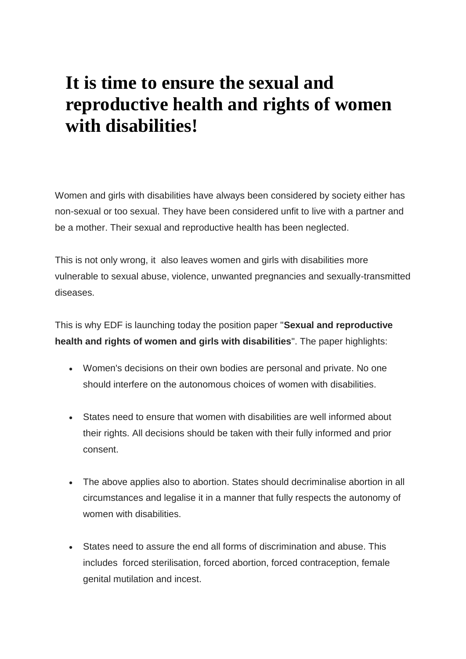## **It is time to ensure the sexual and reproductive health and rights of women with disabilities!**

Women and girls with disabilities have always been considered by society either has non-sexual or too sexual. They have been considered unfit to live with a partner and be a mother. Their sexual and reproductive health has been neglected.

This is not only wrong, it also leaves women and girls with disabilities more vulnerable to sexual abuse, violence, unwanted pregnancies and sexually-transmitted diseases.

This is why EDF is launching today the position paper "**Sexual and reproductive health and rights of women and girls with disabilities**". The paper highlights:

- Women's decisions on their own bodies are personal and private. No one should interfere on the autonomous choices of women with disabilities.
- States need to ensure that women with disabilities are well informed about their rights. All decisions should be taken with their fully informed and prior consent.
- The above applies also to abortion. States should decriminalise abortion in all circumstances and legalise it in a manner that fully respects the autonomy of women with disabilities.
- States need to assure the end all forms of discrimination and abuse. This includes forced sterilisation, forced abortion, forced contraception, female genital mutilation and incest.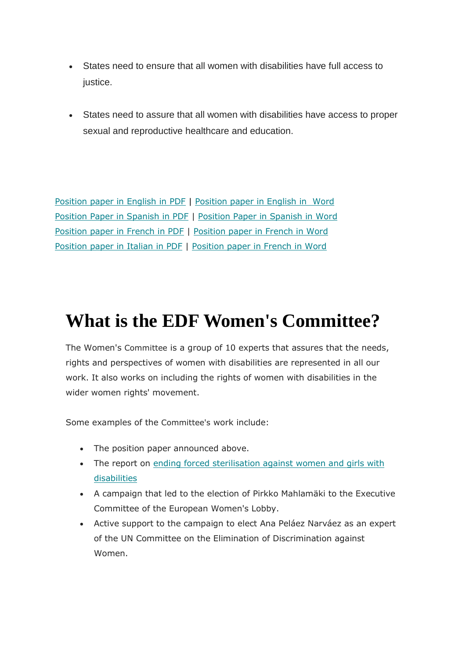- States need to ensure that all women with disabilities have full access to justice.
- States need to assure that all women with disabilities have access to proper sexual and reproductive healthcare and education.

[Position paper in English in](https://edf-feph.us9.list-manage.com/track/click?u=865a5bbea1086c57a41cc876d&id=4d8ba15ac7&e=8154ce811c) [PDF](https://edf-feph.us9.list-manage.com/track/click?u=865a5bbea1086c57a41cc876d&id=4d8ba15ac7&e=8154ce811c) | [Position paper in English in Word](https://edf-feph.us9.list-manage.com/track/click?u=865a5bbea1086c57a41cc876d&id=fd5faff856&e=8154ce811c) [Position Paper in Spanish in PDF](https://edf-feph.us9.list-manage.com/track/click?u=865a5bbea1086c57a41cc876d&id=d5e3411460&e=8154ce811c) | [Position Paper in Spanish in Word](https://edf-feph.us9.list-manage.com/track/click?u=865a5bbea1086c57a41cc876d&id=10214bd2b5&e=8154ce811c) [Position paper in French in PDF](https://edf-feph.us9.list-manage.com/track/click?u=865a5bbea1086c57a41cc876d&id=dd2bb82f84&e=8154ce811c) | [Position paper in French in Word](https://edf-feph.us9.list-manage.com/track/click?u=865a5bbea1086c57a41cc876d&id=822eae1d96&e=8154ce811c) [Position paper in Italian in PDF](https://edf-feph.us9.list-manage.com/track/click?u=865a5bbea1086c57a41cc876d&id=8061059e61&e=8154ce811c) | [Position paper in French in Word](https://edf-feph.us9.list-manage.com/track/click?u=865a5bbea1086c57a41cc876d&id=aafaa6482f&e=8154ce811c)

## **What is the EDF Women's Committee?**

The Women's Committee is a group of 10 experts that assures that the needs, rights and perspectives of women with disabilities are represented in all our work. It also works on including the rights of women with disabilities in the wider women rights' movement.

Some examples of the Committee's work include:

- The position paper announced above.
- The report on ending forced sterilisation against women and girls with [disabilities](https://edf-feph.us9.list-manage.com/track/click?u=865a5bbea1086c57a41cc876d&id=05142625f4&e=8154ce811c)
- A campaign that led to the election of Pirkko Mahlamäki to the Executive Committee of the European Women's Lobby.
- Active support to the campaign to elect Ana Peláez Narváez as an expert of the UN Committee on the Elimination of Discrimination against Women.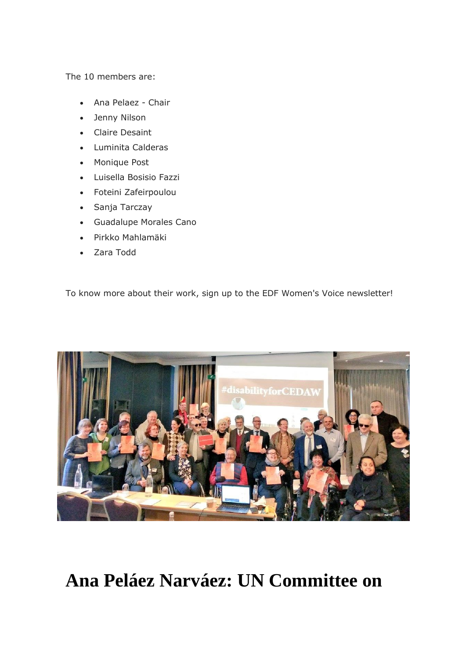The 10 members are:

- Ana Pelaez Chair
- Jenny Nilson
- Claire Desaint
- Luminita Calderas
- Monique Post
- Luisella Bosisio Fazzi
- Foteini Zafeirpoulou
- Sanja Tarczay
- Guadalupe Morales Cano
- Pirkko Mahlamäki
- Zara Todd

To know more about their work, sign up to the EDF Women's Voice newsletter!



## **Ana Peláez Narváez: UN Committee on**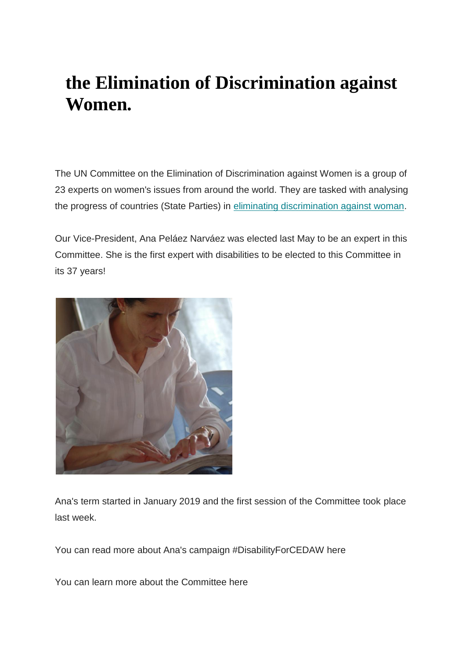# **the Elimination of Discrimination against Women.**

The UN Committee on the Elimination of Discrimination against Women is a group of 23 experts on women's issues from around the world. They are tasked with analysing the progress of countries (State Parties) in [eliminating discrimination against woman.](https://edf-feph.us9.list-manage.com/track/click?u=865a5bbea1086c57a41cc876d&id=9d0b1041d4&e=8154ce811c)

Our Vice-President, Ana Peláez Narváez was elected last May to be an expert in this Committee. She is the first expert with disabilities to be elected to this Committee in its 37 years!



Ana's term started in January 2019 and the first session of the Committee took place last week.

You can read more about Ana's campaign #DisabilityForCEDAW here

You can learn more about the Committee here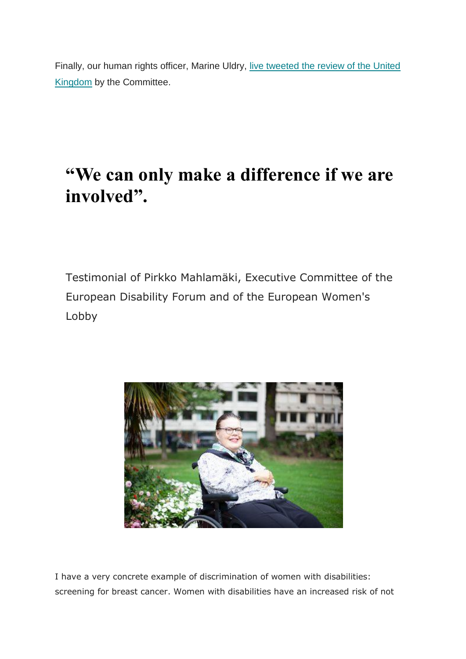Finally, our human rights officer, Marine Uldry, [live tweeted the review of the United](https://edf-feph.us9.list-manage.com/track/click?u=865a5bbea1086c57a41cc876d&id=c0362edcc7&e=8154ce811c)  [Kingdom](https://edf-feph.us9.list-manage.com/track/click?u=865a5bbea1086c57a41cc876d&id=c0362edcc7&e=8154ce811c) by the Committee.

# **"We can only make a difference if we are involved".**

Testimonial of Pirkko Mahlamäki, Executive Committee of the European Disability Forum and of the European Women's Lobby



I have a very concrete example of discrimination of women with disabilities: screening for breast cancer. Women with disabilities have an increased risk of not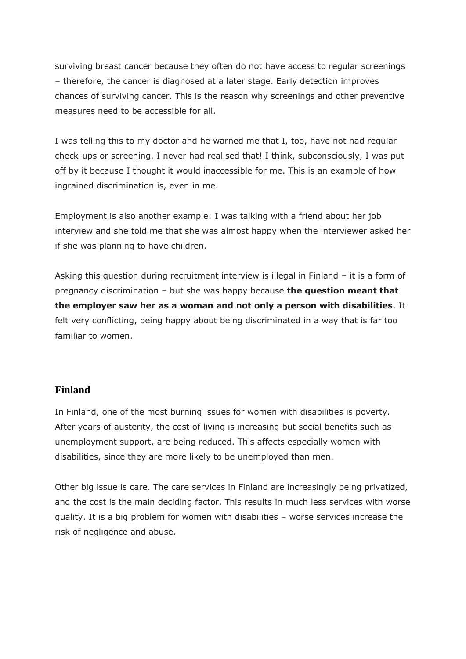surviving breast cancer because they often do not have access to regular screenings – therefore, the cancer is diagnosed at a later stage. Early detection improves chances of surviving cancer. This is the reason why screenings and other preventive measures need to be accessible for all.

I was telling this to my doctor and he warned me that I, too, have not had regular check-ups or screening. I never had realised that! I think, subconsciously, I was put off by it because I thought it would inaccessible for me. This is an example of how ingrained discrimination is, even in me.

Employment is also another example: I was talking with a friend about her job interview and she told me that she was almost happy when the interviewer asked her if she was planning to have children.

Asking this question during recruitment interview is illegal in Finland – it is a form of pregnancy discrimination – but she was happy because **the question meant that the employer saw her as a woman and not only a person with disabilities**. It felt very conflicting, being happy about being discriminated in a way that is far too familiar to women.

#### **Finland**

In Finland, one of the most burning issues for women with disabilities is poverty. After years of austerity, the cost of living is increasing but social benefits such as unemployment support, are being reduced. This affects especially women with disabilities, since they are more likely to be unemployed than men.

Other big issue is care. The care services in Finland are increasingly being privatized, and the cost is the main deciding factor. This results in much less services with worse quality. It is a big problem for women with disabilities – worse services increase the risk of negligence and abuse.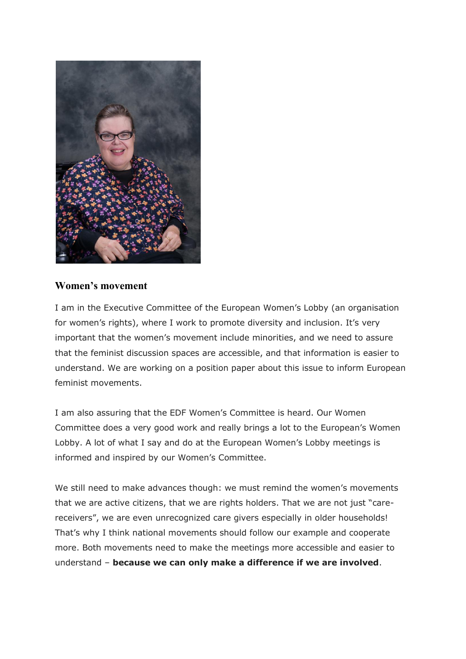

#### **Women's movement**

I am in the Executive Committee of the European Women's Lobby (an organisation for women's rights), where I work to promote diversity and inclusion. It's very important that the women's movement include minorities, and we need to assure that the feminist discussion spaces are accessible, and that information is easier to understand. We are working on a position paper about this issue to inform European feminist movements.

I am also assuring that the EDF Women's Committee is heard. Our Women Committee does a very good work and really brings a lot to the European's Women Lobby. A lot of what I say and do at the European Women's Lobby meetings is informed and inspired by our Women's Committee.

We still need to make advances though: we must remind the women's movements that we are active citizens, that we are rights holders. That we are not just "carereceivers", we are even unrecognized care givers especially in older households! That's why I think national movements should follow our example and cooperate more. Both movements need to make the meetings more accessible and easier to understand – **because we can only make a difference if we are involved**.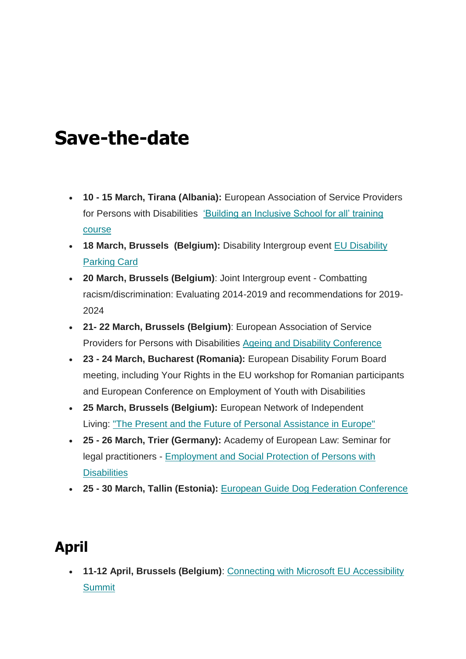# **Save-the-date**

- **10 - 15 March, Tirana (Albania):** European Association of Service Providers for Persons with Disabilities ['Building an Inclusive School for all' training](https://edf-feph.us9.list-manage.com/track/click?u=865a5bbea1086c57a41cc876d&id=d20b45c3c1&e=8154ce811c)  [course](https://edf-feph.us9.list-manage.com/track/click?u=865a5bbea1086c57a41cc876d&id=d20b45c3c1&e=8154ce811c)
- **18 March, Brussels (Belgium):** Disability Intergroup event [EU Disability](https://edf-feph.us9.list-manage.com/track/click?u=865a5bbea1086c57a41cc876d&id=e5c2e8414d&e=8154ce811c)  [Parking Card](https://edf-feph.us9.list-manage.com/track/click?u=865a5bbea1086c57a41cc876d&id=e5c2e8414d&e=8154ce811c)
- **20 March, Brussels (Belgium)**: Joint Intergroup event Combatting racism/discrimination: Evaluating 2014-2019 and recommendations for 2019- 2024
- **21- 22 March, Brussels (Belgium)**: European Association of Service Providers for Persons with Disabilities [Ageing and Disability Conference](https://edf-feph.us9.list-manage.com/track/click?u=865a5bbea1086c57a41cc876d&id=9f9f92f774&e=8154ce811c)
- **23 - 24 March, Bucharest (Romania):** European Disability Forum Board meeting, including Your Rights in the EU workshop for Romanian participants and European Conference on Employment of Youth with Disabilities
- **25 March, Brussels (Belgium):** European Network of Independent Living: ["The Present and the Future of Personal Assistance in Europe"](https://edf-feph.us9.list-manage.com/track/click?u=865a5bbea1086c57a41cc876d&id=f0230d13e9&e=8154ce811c)
- **25 - 26 March, Trier (Germany):** Academy of European Law: Seminar for legal practitioners - [Employment and Social Protection of Persons with](https://edf-feph.us9.list-manage.com/track/click?u=865a5bbea1086c57a41cc876d&id=5442b5115d&e=8154ce811c)  **[Disabilities](https://edf-feph.us9.list-manage.com/track/click?u=865a5bbea1086c57a41cc876d&id=5442b5115d&e=8154ce811c)**
- **25 - 30 March, Tallin (Estonia):** [European Guide Dog Federation Conference](https://edf-feph.us9.list-manage.com/track/click?u=865a5bbea1086c57a41cc876d&id=ecc147af8f&e=8154ce811c)

## **April**

 **11-12 April, Brussels (Belgium)**: [Connecting with Microsoft EU Accessibility](https://edf-feph.us9.list-manage.com/track/click?u=865a5bbea1086c57a41cc876d&id=dceb4db726&e=8154ce811c)  **[Summit](https://edf-feph.us9.list-manage.com/track/click?u=865a5bbea1086c57a41cc876d&id=dceb4db726&e=8154ce811c)**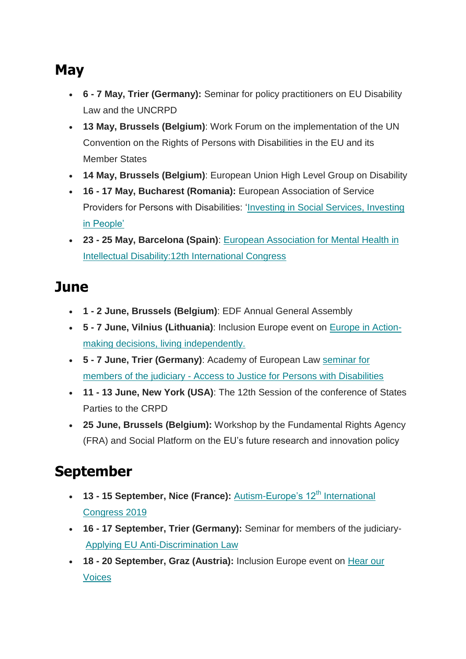## **May**

- **6 - 7 May, Trier (Germany):** Seminar for policy practitioners on EU Disability Law and the UNCRPD
- **13 May, Brussels (Belgium)**: Work Forum on the implementation of the UN Convention on the Rights of Persons with Disabilities in the EU and its Member States
- **14 May, Brussels (Belgium)**: European Union High Level Group on Disability
- **16 - 17 May, Bucharest (Romania):** European Association of Service Providers for Persons with Disabilities: 'Investing in [Social Services, Investing](https://edf-feph.us9.list-manage.com/track/click?u=865a5bbea1086c57a41cc876d&id=79e377278e&e=8154ce811c)  [in People'](https://edf-feph.us9.list-manage.com/track/click?u=865a5bbea1086c57a41cc876d&id=79e377278e&e=8154ce811c)
- **23 - 25 May, Barcelona (Spain)**: [European Association for Mental Health in](https://edf-feph.us9.list-manage.com/track/click?u=865a5bbea1086c57a41cc876d&id=fe4677dabb&e=8154ce811c)  [Intellectual Disability:12th International Congress](https://edf-feph.us9.list-manage.com/track/click?u=865a5bbea1086c57a41cc876d&id=fe4677dabb&e=8154ce811c)

## **June**

- **1 - 2 June, Brussels (Belgium)**: EDF Annual General Assembly
- **5 - 7 June, Vilnius (Lithuania)**: Inclusion Europe event on [Europe in Action](https://edf-feph.us9.list-manage.com/track/click?u=865a5bbea1086c57a41cc876d&id=745e509452&e=8154ce811c)[making decisions, living independently.](https://edf-feph.us9.list-manage.com/track/click?u=865a5bbea1086c57a41cc876d&id=745e509452&e=8154ce811c)
- **5 - 7 June, Trier (Germany)**: Academy of European Law [seminar](https://edf-feph.us9.list-manage.com/track/click?u=865a5bbea1086c57a41cc876d&id=5b83851224&e=8154ce811c) for members of the judiciary - [Access to Justice for Persons with Disabilities](https://edf-feph.us9.list-manage.com/track/click?u=865a5bbea1086c57a41cc876d&id=5b83851224&e=8154ce811c)
- **11 - 13 June, New York (USA)**: The 12th Session of the conference of States Parties to the CRPD
- **25 June, Brussels (Belgium):** Workshop by the Fundamental Rights Agency (FRA) and Social Platform on the EU's future research and innovation policy

## **September**

- **13 15 September, Nice (France):** [Autism-Europe's 12](https://edf-feph.us9.list-manage.com/track/click?u=865a5bbea1086c57a41cc876d&id=dbfb7938e4&e=8154ce811c)<sup>th</sup> International [Congress 2019](https://edf-feph.us9.list-manage.com/track/click?u=865a5bbea1086c57a41cc876d&id=dbfb7938e4&e=8154ce811c)
- **16 - 17 September, Trier (Germany):** Seminar for members of the judiciary-[Applying EU Anti-Discrimination Law](https://edf-feph.us9.list-manage.com/track/click?u=865a5bbea1086c57a41cc876d&id=b84e6a0e9f&e=8154ce811c)
- **18 - 20 September, Graz (Austria):** Inclusion Europe event on [Hear our](https://edf-feph.us9.list-manage.com/track/click?u=865a5bbea1086c57a41cc876d&id=cb60a8771d&e=8154ce811c)  [Voices](https://edf-feph.us9.list-manage.com/track/click?u=865a5bbea1086c57a41cc876d&id=cb60a8771d&e=8154ce811c)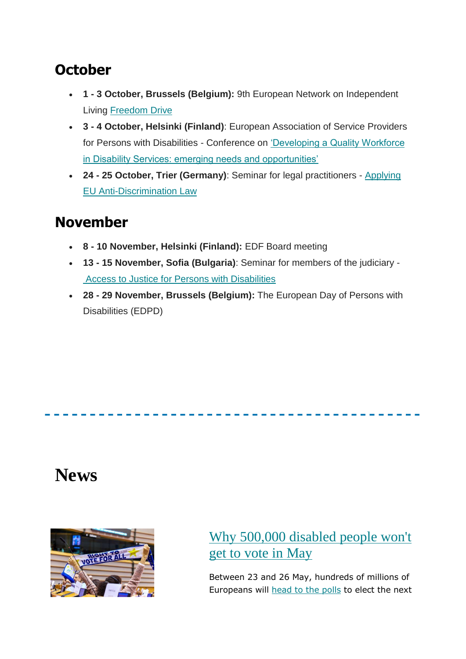#### **October**

- **1 - 3 October, Brussels (Belgium):** 9th European Network on Independent Living [Freedom Drive](https://edf-feph.us9.list-manage.com/track/click?u=865a5bbea1086c57a41cc876d&id=6d4e5d512b&e=8154ce811c)
- **3 - 4 October, Helsinki (Finland)**: European Association of Service Providers for Persons with Disabilities - Conference on ['Developing a Quality Workforce](https://edf-feph.us9.list-manage.com/track/click?u=865a5bbea1086c57a41cc876d&id=1a61141381&e=8154ce811c)  [in Disability Services: emerging needs and opportunities'](https://edf-feph.us9.list-manage.com/track/click?u=865a5bbea1086c57a41cc876d&id=1a61141381&e=8154ce811c)
- **24 - 25 October, Trier (Germany)**: Seminar for legal practitioners [Applying](https://edf-feph.us9.list-manage.com/track/click?u=865a5bbea1086c57a41cc876d&id=f145381a12&e=8154ce811c)  [EU Anti-Discrimination Law](https://edf-feph.us9.list-manage.com/track/click?u=865a5bbea1086c57a41cc876d&id=f145381a12&e=8154ce811c)

## **November**

- **8 - 10 November, Helsinki (Finland):** EDF Board meeting
- **13 - 15 November, Sofia (Bulgaria)**: Seminar for members of the judiciary [Access to Justice for Persons with Disabilities](https://edf-feph.us9.list-manage.com/track/click?u=865a5bbea1086c57a41cc876d&id=76b3b3bac0&e=8154ce811c)
- **28 - 29 November, Brussels (Belgium):** The European Day of Persons with Disabilities (EDPD)

## **News**



#### [Why 500,000 disabled people won't](https://edf-feph.us9.list-manage.com/track/click?u=865a5bbea1086c57a41cc876d&id=34387636f7&e=8154ce811c)  [get to vote in May](https://edf-feph.us9.list-manage.com/track/click?u=865a5bbea1086c57a41cc876d&id=34387636f7&e=8154ce811c)

Between 23 and 26 May, hundreds of millions of Europeans will [head to the polls](https://edf-feph.us9.list-manage.com/track/click?u=865a5bbea1086c57a41cc876d&id=13d8c78646&e=8154ce811c) to elect the next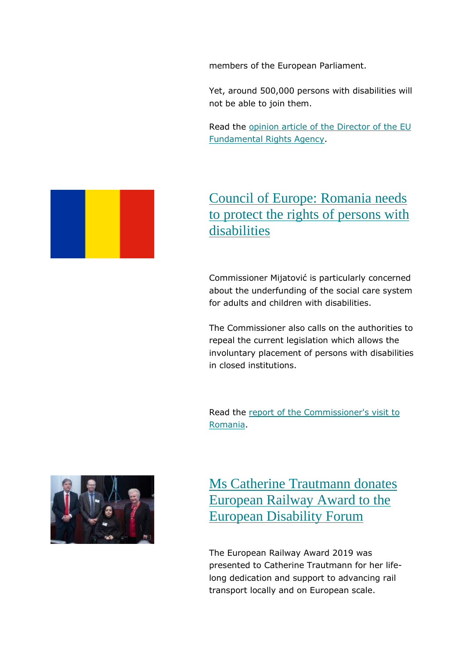members of the European Parliament.

Yet, around 500,000 persons with disabilities will not be able to join them.

Read the [opinion article of the Director of the](https://edf-feph.us9.list-manage.com/track/click?u=865a5bbea1086c57a41cc876d&id=7b25c1ddde&e=8154ce811c) EU [Fundamental Rights Agency.](https://edf-feph.us9.list-manage.com/track/click?u=865a5bbea1086c57a41cc876d&id=7b25c1ddde&e=8154ce811c)

#### [Council of Europe: Romania needs](https://edf-feph.us9.list-manage.com/track/click?u=865a5bbea1086c57a41cc876d&id=e6f7c527cf&e=8154ce811c)  [to protect the rights of persons with](https://edf-feph.us9.list-manage.com/track/click?u=865a5bbea1086c57a41cc876d&id=e6f7c527cf&e=8154ce811c)  [disabilities](https://edf-feph.us9.list-manage.com/track/click?u=865a5bbea1086c57a41cc876d&id=e6f7c527cf&e=8154ce811c)

Commissioner Mijatović is particularly concerned about the underfunding of the social care system for adults and children with disabilities.

The Commissioner also calls on the authorities to repeal the current legislation which allows the involuntary placement of persons with disabilities in closed institutions.

Read the [report of the Commissioner's visit to](https://edf-feph.us9.list-manage.com/track/click?u=865a5bbea1086c57a41cc876d&id=9a7c56d179&e=8154ce811c)  [Romania.](https://edf-feph.us9.list-manage.com/track/click?u=865a5bbea1086c57a41cc876d&id=9a7c56d179&e=8154ce811c)



[Ms Catherine Trautmann donates](https://edf-feph.us9.list-manage.com/track/click?u=865a5bbea1086c57a41cc876d&id=80e8629d69&e=8154ce811c)  [European Railway Award to the](https://edf-feph.us9.list-manage.com/track/click?u=865a5bbea1086c57a41cc876d&id=80e8629d69&e=8154ce811c)  [European Disability Forum](https://edf-feph.us9.list-manage.com/track/click?u=865a5bbea1086c57a41cc876d&id=80e8629d69&e=8154ce811c)

The European Railway Award 2019 was presented to Catherine Trautmann for her lifelong dedication and support to advancing rail transport locally and on European scale.

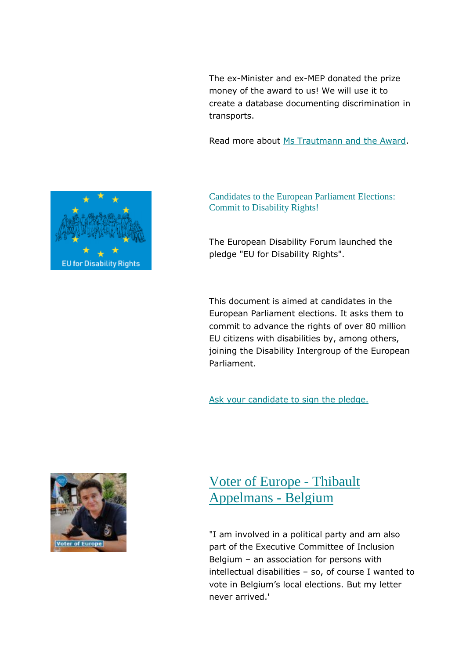The ex-Minister and ex-MEP donated the prize money of the award to us! We will use it to create a database documenting discrimination in transports.

Read more about [Ms Trautmann and the Award.](https://edf-feph.us9.list-manage.com/track/click?u=865a5bbea1086c57a41cc876d&id=85cab6f05f&e=8154ce811c)



The European Disability Forum launched the pledge "EU for Disability Rights".

This document is aimed at candidates in the European Parliament elections. It asks them to commit to advance the rights of over 80 million EU citizens with disabilities by, among others, joining the Disability Intergroup of the European Parliament.

[Ask your candidate to sign the pledge.](https://edf-feph.us9.list-manage.com/track/click?u=865a5bbea1086c57a41cc876d&id=2a575406b4&e=8154ce811c)



#### [Voter of Europe -](https://edf-feph.us9.list-manage.com/track/click?u=865a5bbea1086c57a41cc876d&id=c577ad93e2&e=8154ce811c) Thibault [Appelmans -](https://edf-feph.us9.list-manage.com/track/click?u=865a5bbea1086c57a41cc876d&id=c577ad93e2&e=8154ce811c) Belgium

"I am involved in a political party and am also part of the Executive Committee of Inclusion Belgium – an association for persons with intellectual disabilities – so, of course I wanted to vote in Belgium's local elections. But my letter never arrived.'